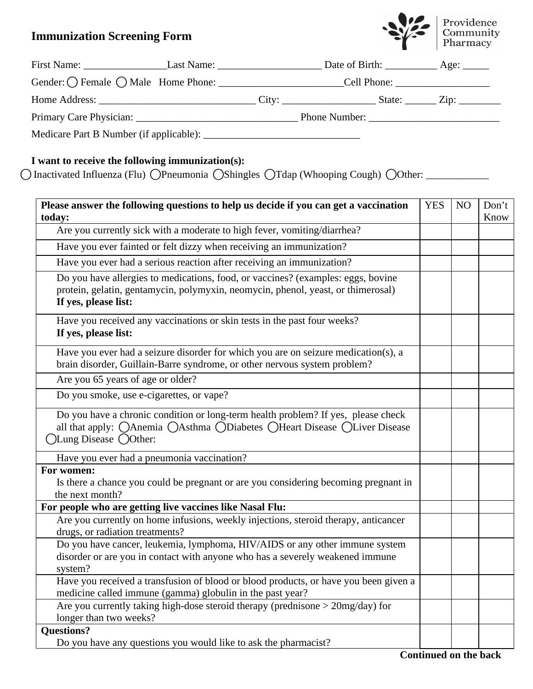## **Immunization Screening Form**



|  | Gender: O Female O Male Home Phone: Cell Phone: |  |  |  |  |
|--|-------------------------------------------------|--|--|--|--|
|  |                                                 |  |  |  |  |
|  |                                                 |  |  |  |  |
|  |                                                 |  |  |  |  |

## **I want to receive the following immunization(s):**

○Inactivated Influenza (Flu) ○Pneumonia ○Shingles ○Tdap (Whooping Cough) ○Other: \_\_\_\_\_\_\_\_\_\_\_\_\_\_\_\_\_\_

| Please answer the following questions to help us decide if you can get a vaccination                                                                                                         |  |  | Don't |
|----------------------------------------------------------------------------------------------------------------------------------------------------------------------------------------------|--|--|-------|
| today:                                                                                                                                                                                       |  |  | Know  |
| Are you currently sick with a moderate to high fever, vomiting/diarrhea?                                                                                                                     |  |  |       |
| Have you ever fainted or felt dizzy when receiving an immunization?                                                                                                                          |  |  |       |
| Have you ever had a serious reaction after receiving an immunization?                                                                                                                        |  |  |       |
| Do you have allergies to medications, food, or vaccines? (examples: eggs, bovine<br>protein, gelatin, gentamycin, polymyxin, neomycin, phenol, yeast, or thimerosal)<br>If yes, please list: |  |  |       |
| Have you received any vaccinations or skin tests in the past four weeks?<br>If yes, please list:                                                                                             |  |  |       |
| Have you ever had a seizure disorder for which you are on seizure medication(s), a<br>brain disorder, Guillain-Barre syndrome, or other nervous system problem?                              |  |  |       |
| Are you 65 years of age or older?                                                                                                                                                            |  |  |       |
| Do you smoke, use e-cigarettes, or vape?                                                                                                                                                     |  |  |       |
| Do you have a chronic condition or long-term health problem? If yes, please check<br>all that apply: OAnemia OAsthma ODiabetes OHeart Disease OLiver Disease<br>)Lung Disease ◯Other:        |  |  |       |
| Have you ever had a pneumonia vaccination?                                                                                                                                                   |  |  |       |
| For women:<br>Is there a chance you could be pregnant or are you considering becoming pregnant in<br>the next month?                                                                         |  |  |       |
| For people who are getting live vaccines like Nasal Flu:                                                                                                                                     |  |  |       |
| Are you currently on home infusions, weekly injections, steroid therapy, anticancer<br>drugs, or radiation treatments?                                                                       |  |  |       |
| Do you have cancer, leukemia, lymphoma, HIV/AIDS or any other immune system<br>disorder or are you in contact with anyone who has a severely weakened immune<br>system?                      |  |  |       |
| Have you received a transfusion of blood or blood products, or have you been given a<br>medicine called immune (gamma) globulin in the past year?                                            |  |  |       |
| Are you currently taking high-dose steroid therapy (prednisone > 20mg/day) for<br>longer than two weeks?                                                                                     |  |  |       |
| <b>Questions?</b>                                                                                                                                                                            |  |  |       |
| Do you have any questions you would like to ask the pharmacist?                                                                                                                              |  |  |       |